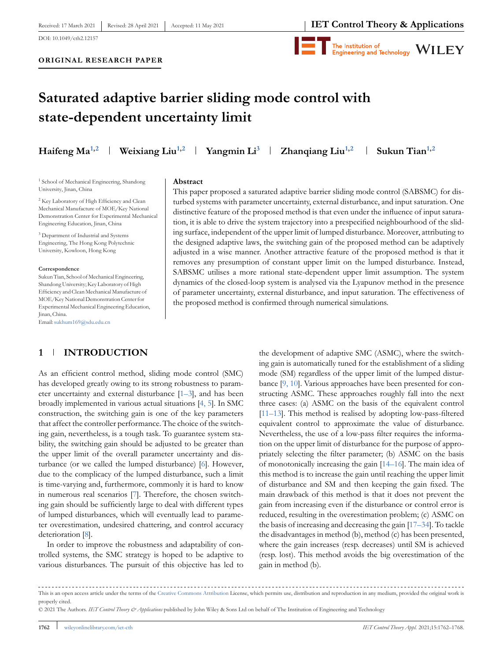

#### **ORIGINAL RESEARCH PAPER**



# **Saturated adaptive barrier sliding mode control with state-dependent uncertainty limit**

**Haifeng Ma<sup>1,2</sup> <b>Weixiang Liu**<sup>1,2</sup> **Yangmin Li**<sup>3</sup> **Zhanqiang Liu**<sup>1,2</sup> **Sukun Tian**<sup>1,2</sup>

<sup>1</sup> School of Mechanical Engineering, Shandong University, Jinan, China

<sup>2</sup> Key Laboratory of High Efficiency and Clean Mechanical Manufacture of MOE/Key National Demonstration Center for Experimental Mechanical Engineering Education, Jinan, China

<sup>3</sup> Department of Industrial and Systems Engineering, The Hong Kong Polytechnic University, Kowloon, Hong Kong

#### **Correspondence**

Sukun Tian, School of Mechanical Engineering, Shandong University; Key Laboratory of High Efficiency and Clean Mechanical Manufacture of MOE/Key National Demonstration Center for Experimental Mechanical Engineering Education, Jinan, China.

Email[:sukhum169@sdu.edu.cn](mailto:sukhum169@sdu.edu.cn)

**Abstract**

This paper proposed a saturated adaptive barrier sliding mode control (SABSMC) for disturbed systems with parameter uncertainty, external disturbance, and input saturation. One distinctive feature of the proposed method is that even under the influence of input saturation, it is able to drive the system trajectory into a prespecified neighbourhood of the sliding surface, independent of the upper limit of lumped disturbance. Moreover, attributing to the designed adaptive laws, the switching gain of the proposed method can be adaptively adjusted in a wise manner. Another attractive feature of the proposed method is that it removes any presumption of constant upper limit on the lumped disturbance. Instead, SABSMC utilises a more rational state-dependent upper limit assumption. The system dynamics of the closed-loop system is analysed via the Lyapunov method in the presence of parameter uncertainty, external disturbance, and input saturation. The effectiveness of the proposed method is confirmed through numerical simulations.

## **1 INTRODUCTION**

As an efficient control method, sliding mode control (SMC) has developed greatly owing to its strong robustness to parameter uncertainty and external disturbance [\[1–3\]](#page-5-0), and has been broadly implemented in various actual situations [\[4, 5\]](#page-5-0). In SMC construction, the switching gain is one of the key parameters that affect the controller performance. The choice of the switching gain, nevertheless, is a tough task. To guarantee system stability, the switching gain should be adjusted to be greater than the upper limit of the overall parameter uncertainty and disturbance (or we called the lumped disturbance) [\[6\]](#page-5-0). However, due to the complicacy of the lumped disturbance, such a limit is time-varying and, furthermore, commonly it is hard to know in numerous real scenarios [\[7\]](#page-5-0). Therefore, the chosen switching gain should be sufficiently large to deal with different types of lumped disturbances, which will eventually lead to parameter overestimation, undesired chattering, and control accuracy deterioration [\[8\]](#page-5-0).

In order to improve the robustness and adaptability of controlled systems, the SMC strategy is hoped to be adaptive to various disturbances. The pursuit of this objective has led to

the development of adaptive SMC (ASMC), where the switching gain is automatically tuned for the establishment of a sliding mode (SM) regardless of the upper limit of the lumped disturbance [\[9, 10\]](#page-5-0). Various approaches have been presented for constructing ASMC. These approaches roughly fall into the next three cases: (a) ASMC on the basis of the equivalent control [\[11–13\]](#page-5-0). This method is realised by adopting low-pass-filtered equivalent control to approximate the value of disturbance. Nevertheless, the use of a low-pass filter requires the information on the upper limit of disturbance for the purpose of appropriately selecting the filter parameter; (b) ASMC on the basis of monotonically increasing the gain [\[14–16\]](#page-5-0). The main idea of this method is to increase the gain until reaching the upper limit of disturbance and SM and then keeping the gain fixed. The main drawback of this method is that it does not prevent the gain from increasing even if the disturbance or control error is reduced, resulting in the overestimation problem; (c) ASMC on the basis of increasing and decreasing the gain [\[17–34\]](#page-6-0). To tackle the disadvantages in method (b), method (c) has been presented, where the gain increases (resp. decreases) until SM is achieved (resp. lost). This method avoids the big overestimation of the gain in method (b).

This is an open access article under the terms of the [Creative Commons Attribution](http://creativecommons.org/licenses/by/4.0/) License, which permits use, distribution and reproduction in any medium, provided the original work is properly cited.

<sup>© 2021</sup> The Authors. *IET Control Theory & Applications* published by John Wiley & Sons Ltd on behalf of The Institution of Engineering and Technology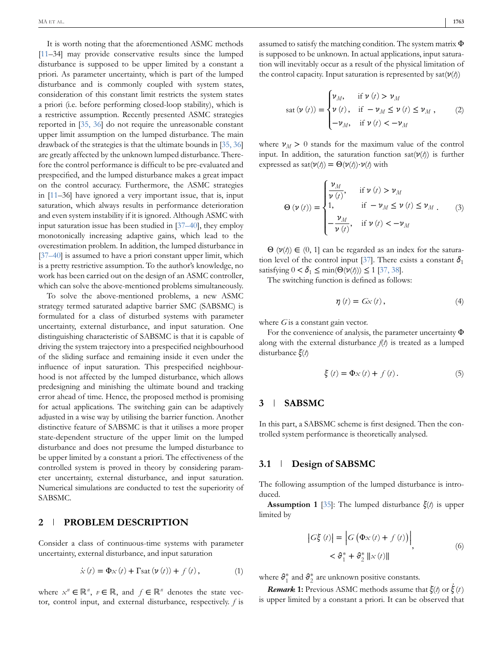<span id="page-1-0"></span>It is worth noting that the aforementioned ASMC methods [\[11–](#page-5-0)34] may provide conservative results since the lumped disturbance is supposed to be upper limited by a constant a priori. As parameter uncertainty, which is part of the lumped disturbance and is commonly coupled with system states, consideration of this constant limit restricts the system states a priori (i.e. before performing closed-loop stability), which is a restrictive assumption. Recently presented ASMC strategies reported in [\[35, 36\]](#page-6-0) do not require the unreasonable constant upper limit assumption on the lumped disturbance. The main drawback of the strategies is that the ultimate bounds in [\[35, 36\]](#page-6-0) are greatly affected by the unknown lumped disturbance. Therefore the control performance is difficult to be pre-evaluated and prespecified, and the lumped disturbance makes a great impact on the control accuracy. Furthermore, the ASMC strategies in [\[11–](#page-5-0)36] have ignored a very important issue, that is, input saturation, which always results in performance deterioration and even system instability if it is ignored. Although ASMC with input saturation issue has been studied in [\[37–40\]](#page-6-0), they employ monotonically increasing adaptive gains, which lead to the overestimation problem. In addition, the lumped disturbance in [\[37–40\]](#page-6-0) is assumed to have a priori constant upper limit, which is a pretty restrictive assumption. To the author's knowledge, no work has been carried out on the design of an ASMC controller, which can solve the above-mentioned problems simultaneously.

To solve the above-mentioned problems, a new ASMC strategy termed saturated adaptive barrier SMC (SABSMC) is formulated for a class of disturbed systems with parameter uncertainty, external disturbance, and input saturation. One distinguishing characteristic of SABSMC is that it is capable of driving the system trajectory into a prespecified neighbourhood of the sliding surface and remaining inside it even under the influence of input saturation. This prespecified neighbourhood is not affected by the lumped disturbance, which allows predesigning and minishing the ultimate bound and tracking error ahead of time. Hence, the proposed method is promising for actual applications. The switching gain can be adaptively adjusted in a wise way by utilising the barrier function. Another distinctive feature of SABSMC is that it utilises a more proper state-dependent structure of the upper limit on the lumped disturbance and does not presume the lumped disturbance to be upper limited by a constant a priori. The effectiveness of the controlled system is proved in theory by considering parameter uncertainty, external disturbance, and input saturation. Numerical simulations are conducted to test the superiority of SABSMC.

#### **2 PROBLEM DESCRIPTION**

Consider a class of continuous-time systems with parameter uncertainty, external disturbance, and input saturation

$$
\dot{x}(t) = \Phi x(t) + \Gamma \text{sat} \left( \nu(t) \right) + f(t), \tag{1}
$$

where  $x^n \in \mathbb{R}^n$ ,  $v \in \mathbb{R}$ , and  $f \in \mathbb{R}^n$  denotes the state vector, control input, and external disturbance, respectively. *f* is assumed to satisfy the matching condition. The system matrix Φ is supposed to be unknown. In actual applications, input saturation will inevitably occur as a result of the physical limitation of the control capacity. Input saturation is represented by sat(*ν*(*t*))

$$
sat(\nu(t)) = \begin{cases} \nu_M, & \text{if } \nu(t) > \nu_M \\ \nu(t), & \text{if } -\nu_M \le \nu(t) \le \nu_M, \\ -\nu_M, & \text{if } \nu(t) < -\nu_M \end{cases}
$$
 (2)

where  $\nu_M > 0$  stands for the maximum value of the control input. In addition, the saturation function sat(*ν*(*t*)) is further expressed as sat $(\nu(t)) = \Theta(\nu(t)) \cdot \nu(t)$  with

$$
\Theta(\nu(t)) = \begin{cases} \frac{\nu_M}{\nu(t)}, & \text{if } \nu(t) > \nu_M \\ 1, & \text{if } -\nu_M \le \nu(t) \le \nu_M \\ -\frac{\nu_M}{\nu(t)}, & \text{if } \nu(t) < -\nu_M \end{cases}
$$
 (3)

 $\Theta$  ( $\nu(t)$ )  $\in$  (0, 1] can be regarded as an index for the satura-tion level of the control input [\[37\]](#page-6-0). There exists a constant  $\delta_1$ satisfying  $0 < \delta_1 \le \min(\Theta(\nu(\ell))) \le 1$  [\[37, 38\]](#page-6-0).

The switching function is defined as follows:

$$
\eta(t) = Gx(t), \tag{4}
$$

where *G* is a constant gain vector.

For the convenience of analysis, the parameter uncertainty Φ along with the external disturbance *f*(*t*) is treated as a lumped disturbance *ξ*(*t*)

$$
\xi(t) = \Phi_X(t) + f(t). \tag{5}
$$

#### **3 SABSMC**

In this part, a SABSMC scheme is first designed. Then the controlled system performance is theoretically analysed.

#### **3.1 Design of SABSMC**

The following assumption of the lumped disturbance is introduced.

**Assumption 1** [\[35\]](#page-6-0): The lumped disturbance *ξ*(*t*) is upper limited by

$$
\begin{aligned} \left| G\xi(t) \right| &= \left| G\left( \Phi_X(t) + f\left( t \right) \right) \right| \\ &< \vartheta_1^* + \vartheta_2^* \left\| x\left( t \right) \right\| \end{aligned} \tag{6}
$$

where  $\mathbf{\vartheta}_1^*$  and  $\mathbf{\vartheta}_2^*$  are unknown positive constants.

*Remark* 1: Previous ASMC methods assume that  $\zeta(t)$  or  $\dot{\zeta}(t)$ is upper limited by a constant a priori. It can be observed that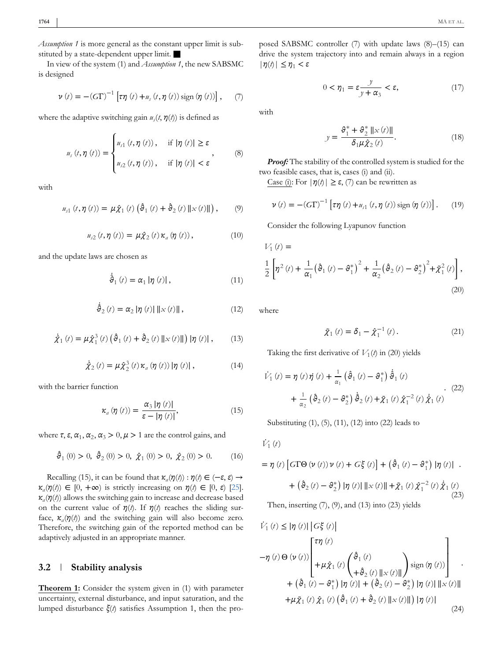*Assumption 1* is more general as the constant upper limit is substituted by a state-dependent upper limit.

In view of the system (1) and *Assumption 1*, the new SABSMC is designed

$$
\nu(t) = -(G\Gamma)^{-1} \left[ \tau \eta(t) + u_s(t, \eta(t)) \operatorname{sign}(\eta(t)) \right], \quad (7)
$$

where the adaptive switching gain  $u_s(t, \eta(t))$  is defined as

$$
u_{s}(t,\eta(t)) = \begin{cases} u_{s1}(t,\eta(t)), & \text{if } |\eta(t)| \geq \varepsilon \\ u_{s2}(t,\eta(t)), & \text{if } |\eta(t)| < \varepsilon \end{cases}
$$
 (8)

with

$$
u_{s1}(t, \eta(t)) = \mu \hat{\chi}_1(t) \left( \hat{\vartheta}_1(t) + \hat{\vartheta}_2(t) \|x(t)\| \right), \qquad (9)
$$

$$
u_{s2}\left(t,\eta\left(t\right)\right)=\mu\hat{\chi}_{2}\left(t\right)\kappa_{a}\left(\eta\left(t\right)\right),\tag{10}
$$

and the update laws are chosen as

$$
\dot{\hat{\vartheta}}_1(t) = \alpha_1 |\eta(t)|, \qquad (11)
$$

$$
\dot{\hat{\theta}}_2(t) = \alpha_2 |\eta(t)| \, \|x(t)\| \,, \tag{12}
$$

$$
\dot{\hat{\chi}}_1(t) = \mu \hat{\chi}_1^3(t) \left( \hat{\theta}_1(t) + \hat{\theta}_2(t) \|x(t)\| \right) |\eta(t)|, \qquad (13)
$$

$$
\dot{\hat{\chi}}_2(t) = \mu \hat{\chi}_2^3(t) \kappa_a(\eta(t)) |\eta(t)|, \qquad (14)
$$

with the barrier function

$$
\kappa_a\left(\eta\left(t\right)\right) = \frac{\alpha_3 \left|\eta\left(t\right)\right|}{\varepsilon - \left|\eta\left(t\right)\right|},\tag{15}
$$

where  $\tau$ ,  $\epsilon$ ,  $\alpha_1$ ,  $\alpha_2$ ,  $\alpha_3 > 0$ ,  $\mu > 1$  are the control gains, and

$$
\hat{\vartheta}_1(0) > 0, \ \hat{\vartheta}_2(0) > 0, \ \hat{\chi}_1(0) > 0, \ \hat{\chi}_2(0) > 0. \tag{16}
$$

Recalling (15), it can be found that  $\kappa_a(\eta(t)) : \eta(t) \in (-\varepsilon, \varepsilon) \rightarrow$  $\kappa_a(\eta(t)) \in [0, +\infty)$  is strictly increasing on  $\eta(t) \in [0, \varepsilon)$  [\[25\]](#page-6-0). *κa*(*η*(*t*)) allows the switching gain to increase and decrease based on the current value of  $\eta(t)$ . If  $\eta(t)$  reaches the sliding surface,  $\kappa_a(\eta(t))$  and the switching gain will also become zero. Therefore, the switching gain of the reported method can be adaptively adjusted in an appropriate manner.

#### **3.2 Stability analysis**

**Theorem 1:** Consider the system given in (1) with parameter uncertainty, external disturbance, and input saturation, and the lumped disturbance *ξ*(*t*) satisfies Assumption 1, then the proposed SABSMC controller (7) with update laws (8)–(15) can drive the system trajectory into and remain always in a region  $|\eta(t)| \leq \eta_1 < \varepsilon$ 

$$
0 < \eta_1 = \varepsilon \frac{y}{y + \alpha_3} < \varepsilon,\tag{17}
$$

with

$$
y = \frac{\partial_1^* + \partial_2^* ||x(t)||}{\delta_1 \mu \hat{\chi}_2(t)}.
$$
 (18)

*Proof:* The stability of the controlled system is studied for the two feasible cases, that is, cases (i) and (ii).

Case (i): For  $|\eta(t)| \geq \varepsilon$ , (7) can be rewritten as

$$
\nu(t) = -(G\Gamma)^{-1} [\tau \eta(t) + u_{s1}(t, \eta(t)) \text{ sign } (\eta(t))].
$$
 (19)

Consider the following Lyapunov function

$$
V_1(t) =
$$
  
\n
$$
\frac{1}{2} \left[ \eta^2(t) + \frac{1}{\alpha_1} (\hat{\vartheta}_1(t) - \vartheta_1^*)^2 + \frac{1}{\alpha_2} (\hat{\vartheta}_2(t) - \vartheta_2^*)^2 + \tilde{\chi}_1^2(t) \right],
$$
\n(20)

where

$$
\tilde{\chi}_1(t) = \delta_1 - \hat{\chi}_1^{-1}(t). \tag{21}
$$

Taking the first derivative of  $V_1(t)$  in (20) yields

$$
\dot{V}_{1}(t) = \eta(t)\dot{\eta}(t) + \frac{1}{\alpha_{1}} \left(\hat{\vartheta}_{1}(t) - \vartheta_{1}^{*}\right) \dot{\hat{\vartheta}}_{1}(t) \n+ \frac{1}{\alpha_{2}} \left(\hat{\vartheta}_{2}(t) - \vartheta_{2}^{*}\right) \dot{\hat{\vartheta}}_{2}(t) + \tilde{\chi}_{1}(t) \tilde{\chi}_{1}^{-2}(t) \dot{\hat{\chi}}_{1}(t)
$$
\n(22)

Substituting (1), (5), (11), (12) into (22) leads to

 $\dot{V}_1(t)$ 

$$
= \eta(t) \left[ G\Gamma\Theta\left(\nu\left(t\right)\right) \nu\left(t\right) + G\xi\left(t\right) \right] + \left( \vartheta_1\left(t\right) - \vartheta_1^* \right) \left| \eta\left(t\right) \right| \right. \\ + \left. \left( \vartheta_2\left(t\right) - \vartheta_2^* \right) \left| \eta\left(t\right) \right| \left\| \mathbf{x}\left(t\right) \right\| + \tilde{\chi}_1\left(t\right) \tilde{\chi}_1^{-2}\left(t\right) \dot{\tilde{\chi}}_1\left(t\right) \right. \\ \left. \left( 23 \right)
$$
\nThen inserting (7) (9) and (13) into (23) yields

Then, inserting  $(7)$ ,  $(9)$ , and  $(13)$  into  $(23)$  yields

$$
\dot{V}_1(t) \leq |\eta(t)| \left| G\xi(t) \right|
$$
  
\n
$$
- \eta(t) \Theta(\nu(t)) \left[ \begin{matrix} \tau \eta(t) \\ + \mu \hat{\chi}_1(t) \begin{pmatrix} \hat{\vartheta}_1(t) \\ + \hat{\vartheta}_2(t) ||x(t)|| \end{pmatrix} \text{sign}(\eta(t)) \end{matrix} \right] + (\hat{\vartheta}_1(t) - \vartheta_1^*) |\eta(t)| + (\hat{\vartheta}_2(t) - \vartheta_2^*) |\eta(t)| ||x(t)||
$$
  
\n
$$
+ \mu \tilde{\chi}_1(t) \hat{\chi}_1(t) (\hat{\vartheta}_1(t) + \hat{\vartheta}_2(t) ||x(t)||) |\eta(t)| \tag{24}
$$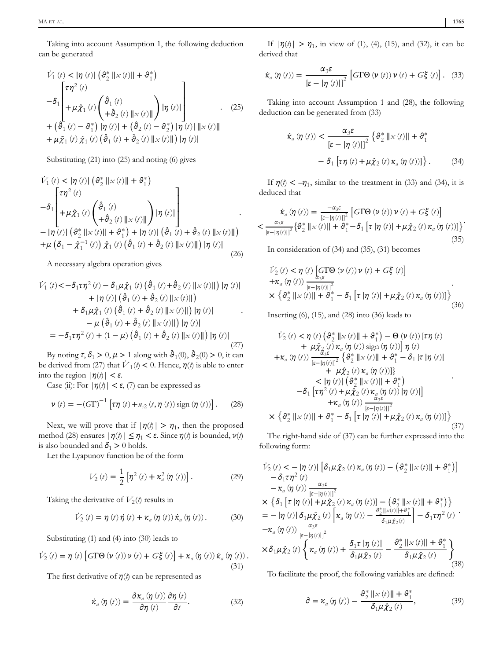Taking into account Assumption 1, the following deduction can be generated

$$
\vec{V}_1(t) < |\eta(t)| (\vartheta_2^* ||x(t)|| + \vartheta_1^*)
$$
\n
$$
- \delta_1 \begin{bmatrix} \tau \eta^2(t) \\ + \mu \hat{\chi}_1(t) \begin{pmatrix} \hat{\vartheta}_1(t) \\ + \hat{\vartheta}_2(t) ||x(t)|| \end{pmatrix} |\eta(t)| \\ + (\hat{\vartheta}_1(t) - \vartheta_1^*) |\eta(t)| + (\hat{\vartheta}_2(t) - \vartheta_2^*) |\eta(t)| ||x(t)|| \\ + \mu \tilde{\chi}_1(t) \hat{\chi}_1(t) (\hat{\vartheta}_1(t) + \hat{\vartheta}_2(t) ||x(t)||) |\eta(t)| \end{bmatrix}
$$
\n(25)

Substituting (21) into (25) and noting (6) gives

$$
\dot{V}_{1}(t) < |\eta(t)| (\theta_{2}^{*} ||x(t)|| + \theta_{1}^{*})
$$
\n
$$
-\delta_{1} \begin{bmatrix} \tau \eta^{2}(t) \\ + \mu \hat{\chi}_{1}(t) \begin{pmatrix} \hat{\theta}_{1}(t) \\ + \hat{\theta}_{2}(t) ||x(t)|| \end{pmatrix} |\eta(t)| \\ - |\eta(t)| (\theta_{2}^{*} ||x(t)|| + \theta_{1}^{*}) + |\eta(t)| (\hat{\theta}_{1}(t) + \hat{\theta}_{2}(t) ||x(t)||) \\ + \mu (\delta_{1} - \hat{\chi}_{1}^{-1}(t)) \hat{\chi}_{1}(t) (\hat{\theta}_{1}(t) + \hat{\theta}_{2}(t) ||x(t)||) |\eta(t)| \end{bmatrix}
$$
\n(26)

A necessary algebra operation gives

$$
\dot{V}_{1}(t) < -\delta_{1}\tau\eta^{2}(t) - \delta_{1}\mu\hat{\chi}_{1}(t) (\hat{\theta}_{1}(t) + \hat{\theta}_{2}(t) ||x(t)||) |\eta(t)| \n+ |\eta(t)| (\hat{\theta}_{1}(t) + \hat{\theta}_{2}(t) ||x(t)||) \n+ \delta_{1}\mu\hat{\chi}_{1}(t) (\hat{\theta}_{1}(t) + \hat{\theta}_{2}(t) ||x(t)||) |\eta(t)| \n- \mu (\hat{\theta}_{1}(t) + \hat{\theta}_{2}(t) ||x(t)||) |\eta(t)| \n= -\delta_{1}\tau\eta^{2}(t) + (1 - \mu) (\hat{\theta}_{1}(t) + \hat{\theta}_{2}(t) ||x(t)||) |\eta(t)|
$$
\n(27)

By noting  $\tau$ ,  $\delta_1 > 0$ ,  $\mu > 1$  along with  $\hat{\vartheta}_1(0)$ ,  $\hat{\vartheta}_2(0) > 0$ , it can be derived from (27) that  $\dot{V}_1(t) < 0$ . Hence,  $\eta(t)$  is able to enter into the region  $|\eta(t)| < ε$ .

Case (ii): For  $|\eta(t)| < \varepsilon$ , (7) can be expressed as

$$
\nu(t) = -(G\Gamma)^{-1} [\tau \eta(t) + u_{32}(t, \eta(t)) \text{ sign } (\eta(t))].
$$
 (28)

Next, we will prove that if  $|\eta(\ell)| > \eta_1$ , then the proposed method (28) ensures  $|\eta(t)| \leq \eta_1 < \varepsilon$ . Since  $\eta(t)$  is bounded,  $\nu(t)$ is also bounded and  $\delta_1 > 0$  holds.

Let the Lyapunov function be of the form

$$
V_2(t) = \frac{1}{2} \left[ \eta^2(t) + \kappa_a^2(\eta(t)) \right].
$$
 (29)

Taking the derivative of  $V_2(t)$  results in

$$
\dot{V}_2(t) = \eta(t)\dot{\eta}(t) + \kappa_a(\eta(t))\dot{\kappa}_a(\eta(t)). \qquad (30)
$$

Substituting (1) and (4) into (30) leads to

$$
\dot{V}_2(t) = \eta(t) \left[ G\Gamma\Theta\left(\nu\left(t\right)\right) \nu\left(t\right) + G\xi\left(t\right) \right] + \kappa_a\left(\eta\left(t\right)\right) \dot{\kappa}_a\left(\eta\left(t\right)\right). \tag{31}
$$

The first derivative of *η*(*t*) can be represented as

$$
\dot{\kappa}_a(\eta(t)) = \frac{\partial \kappa_a(\eta(t))}{\partial \eta(t)} \frac{\partial \eta(t)}{\partial t}.
$$
\n(32)

If  $|\eta(\phi)| > \eta_1$ , in view of (1), (4), (15), and (32), it can be derived that

$$
\dot{\kappa}_a(\eta(t)) = \frac{\alpha_3 \varepsilon}{\left[\varepsilon - |\eta(t)|\right]^2} \left[ G\Gamma\Theta\left(\nu(t)\right) \nu(t) + G\xi(t) \right]. \tag{33}
$$

Taking into account Assumption 1 and (28), the following deduction can be generated from (33)

$$
\dot{\kappa}_a(\eta(t)) < \frac{\alpha_3 \varepsilon}{\left[\varepsilon - |\eta(t)|\right]^2} \left\{ \vartheta_2^* \left\| x(t) \right\| + \vartheta_1^* \right. \\
 \left. - \delta_1 \left[ \tau \eta(t) + \mu \hat{\chi}_2(t) \, \kappa_a(\eta(t)) \right] \right\} .\n \tag{34}
$$

If  $\eta(t) < -\eta_1$ , similar to the treatment in (33) and (34), it is deduced that

$$
\dot{\kappa}_{a}(\eta(t)) = \frac{-\alpha_{3}\varepsilon}{\left[\varepsilon - |\eta(t)|\right]^{2}} \left[ G\Gamma\Theta\left(\nu\left(t\right)\right) \nu\left(t\right) + G\xi\left(t\right) \right] \times \frac{\alpha_{3}\varepsilon}{\left[\varepsilon - |\eta(t)|\right]^{2}} \left\{ \vartheta_{2}^{*} \left\| \mathcal{L}\left(t\right) \right\| + \vartheta_{1}^{*} - \delta_{1} \left[\tau\left|\eta\left(t\right)\right| + \mu \hat{\chi}_{2}\left(t\right) \kappa_{a}\left(\eta\left(t\right)\right) \right] \right\} \right\} \tag{35}
$$

In consideration of (34) and (35), (31) becomes

$$
\dot{V}_2(t) < \eta(t) \left[ G\Gamma\Theta \left( \nu(t) \right) \nu(t) + G\xi(t) \right] \\
+ \kappa_a(\eta(t)) \frac{\alpha_3 \varepsilon}{\left[ \varepsilon - |\eta(t)| \right]^2} \\
\times \left\{ \vartheta_2^* \left\| \varepsilon(t) \right\| + \vartheta_1^* - \delta_1 \left[ \tau \left| \eta(t) \right| + \mu \hat{\chi}_2(t) \kappa_a(\eta(t)) \right] \right\} \tag{36}
$$

Inserting (6), (15), and (28) into (36) leads to

$$
\dot{V}_2(t) < \eta(t) \left(\vartheta_2^* \|x(t)\| + \vartheta_1^*\right) - \Theta(\nu(t)) \left[\tau \eta(t)\right] + \mu \hat{\chi}_2(t) \kappa_a(\eta(t)) \operatorname{sign}(\eta(t)) \left[\eta(t)\right]
$$
\n
$$
+ \kappa_a(\eta(t)) \frac{\alpha_3 \varepsilon}{\left[\varepsilon - |\eta(t)|\right]^2} \left\{\vartheta_2^* \|x(t)\| + \vartheta_1^* - \delta_1 \left[\tau \left|\eta(t)\right|\right] + \mu \hat{\chi}_2(t) \kappa_a(\eta(t))\right\}
$$
\n
$$
< |\eta(t)| \left(\vartheta_2^* \|x(t)\| + \vartheta_1^*\right)
$$
\n
$$
- \delta_1 \left[\tau \eta^2(t) + \mu \hat{\chi}_2(t) \kappa_a(\eta(t)) \left|\eta(t)\right|\right]
$$
\n
$$
+ \kappa_a(\eta(t)) \frac{\alpha_3 \varepsilon}{\left[\varepsilon - |\eta(t)|\right]^2}
$$
\n
$$
\times \left\{\vartheta_2^* \|x(t)\| + \vartheta_1^* - \delta_1 \left[\tau \left|\eta(t)\right| + \mu \hat{\chi}_2(t) \kappa_a(\eta(t))\right]\right\}
$$
\n
$$
(37)
$$

The right-hand side of (37) can be further expressed into the following form:

$$
\dot{V}_2(t) < -\left[\eta(t)\right] \left[\delta_1 \mu \hat{\chi}_2(t) \kappa_a(\eta(t)) - \left(\vartheta_2^* \left\|x(t)\right\| + \vartheta_1^*\right)\right] \n- \delta_1 \tau \eta^2(t) \n- \kappa_a(\eta(t)) \frac{\alpha_3 \varepsilon}{\left[\varepsilon - |\eta(t)|\right]^2} \n\times \left\{\delta_1 \left[\tau \left|\eta(t)\right| + \mu \hat{\chi}_2(t) \kappa_a(\eta(t))\right] - \left(\vartheta_2^* \left\|x(t)\right\| + \vartheta_1^*\right)\right\} \n= -\left|\eta(t)\right| \delta_1 \mu \hat{\chi}_2(t) \left[\kappa_a(\eta(t)) - \frac{\vartheta_2^* \left\|x(t)\right\| + \vartheta_1^*}{\delta_1 \mu \hat{\chi}_2(t)}\right] - \delta_1 \tau \eta^2(t) \n- \kappa_a(\eta(t)) \frac{\alpha_3 \varepsilon}{\left[\varepsilon - |\eta(t)|\right]^2} \n\times \delta_1 \mu \hat{\chi}_2(t) \left\{\kappa_a(\eta(t)) + \frac{\delta_1 \tau \left|\eta(t)\right|}{\delta_1 \mu \hat{\chi}_2(t)} - \frac{\vartheta_2^* \left\|x(t)\right\| + \vartheta_1^*}{\delta_1 \mu \hat{\chi}_2(t)}\right\} \tag{38}
$$

To facilitate the proof, the following variables are defined:

$$
\partial = \kappa_a \left( \eta \left( t \right) \right) - \frac{\vartheta_2^* \left\| x \left( t \right) \right\| + \vartheta_1^*}{\delta_1 \mu \hat{\chi}_2 \left( t \right)},\tag{39}
$$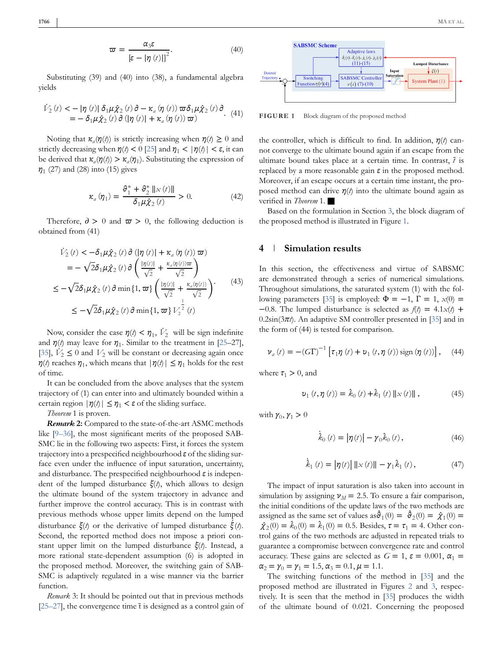$$
\varpi = \frac{\alpha_3 \varepsilon}{\left[\varepsilon - |\eta(t)|\right]^2}.
$$
 (40)

Substituting (39) and (40) into (38), a fundamental algebra yields

$$
\dot{V}_2(t) < -|\eta(t)| \, \delta_1 \mu \hat{\chi}_2(t) \, \partial - \kappa_a(\eta(t)) \, \varpi \delta_1 \mu \hat{\chi}_2(t) \, \partial \n= -\delta_1 \mu \hat{\chi}_2(t) \, \partial \left( |\eta(t)| + \kappa_a(\eta(t)) \, \varpi \right). \tag{41}
$$

Noting that  $\kappa_a(\eta(t))$  is strictly increasing when  $\eta(t) \geq 0$  and strictly decreasing when  $\eta(t) < 0$  [\[25\]](#page-6-0) and  $\eta_1 < |\eta(t)| < \varepsilon$ , it can be derived that  $\kappa_a(\eta(t)) > \kappa_a(\eta_1)$ . Substituting the expression of *η*<sup>1</sup> (27) and (28) into (15) gives

$$
\kappa_a(\eta_1) = \frac{\vartheta_1^* + \vartheta_2^* \left\| \mathcal{L}(t) \right\|}{\delta_1 \mu \hat{\chi}_2(t)} > 0. \tag{42}
$$

Therefore,  $\partial > 0$  and  $\varpi > 0$ , the following deduction is obtained from (41)

$$
\begin{split} \dot{V}_2\left(t\right) &< -\delta_1 \mu \hat{\chi}_2\left(t\right) \partial \left(\left|\eta\left(t\right)\right| + \kappa_a \left(\eta\left(t\right)\right) \varpi\right) \\ &= -\sqrt{2} \delta_1 \mu \hat{\chi}_2\left(t\right) \partial \left(\frac{\left|\eta\left(t\right)\right|}{\sqrt{2}} + \frac{\kappa_a \left(\eta\left(t\right)\right) \varpi}{\sqrt{2}}\right) \\ &\leq -\sqrt{2} \delta_1 \mu \hat{\chi}_2\left(t\right) \partial \min\left\{1, \varpi\right\} \left(\frac{\left|\eta\left(t\right)\right|}{\sqrt{2}} + \frac{\kappa_a \left(\eta\left(t\right)\right)}{\sqrt{2}}\right) \\ &\leq -\sqrt{2} \delta_1 \mu \hat{\chi}_2\left(t\right) \partial \min\left\{1, \varpi\right\} V_2^{\frac{1}{2}}\left(t\right) \end{split} \tag{43}
$$

Now, consider the case  $\eta$ (*t*) <  $\eta$ <sub>1</sub>,  $\dot{V}_2$  will be sign indefinite and  $\eta(t)$  may leave for  $\eta_1$ . Similar to the treatment in [\[25–](#page-6-0)27], [\[35\]](#page-6-0),  $\dot{V}_2 \le 0$  and  $V_2$  will be constant or decreasing again once *η*(*t*) reaches  $η_1$ , which means that  $|η(t)| ≤ η_1$  holds for the rest of time.

It can be concluded from the above analyses that the system trajectory of (1) can enter into and ultimately bounded within a certain region  $|\eta(\ell)| \leq \eta_1 < \varepsilon$  of the sliding surface.

*Theorem* 1 is proven.

*Remark* **2:** Compared to the state-of-the-art ASMC methods like [\[9–36\]](#page-5-0), the most significant merits of the proposed SAB-SMC lie in the following two aspects: First, it forces the system trajectory into a prespecified neighbourhood *ε* of the sliding surface even under the influence of input saturation, uncertainty, and disturbance. The prespecified neighbourhood *ε* is independent of the lumped disturbance *ξ*(*t*), which allows to design the ultimate bound of the system trajectory in advance and further improve the control accuracy. This is in contrast with previous methods whose upper limits depend on the lumped disturbance  $\zeta(t)$  or the derivative of lumped disturbance  $\dot{\bar{\zeta}}(t)$ . Second, the reported method does not impose a priori constant upper limit on the lumped disturbance *ξ*(*t*). Instead, a more rational state-dependent assumption (6) is adopted in the proposed method. Moreover, the switching gain of SAB-SMC is adaptively regulated in a wise manner via the barrier function.

*Remark* 3: It should be pointed out that in previous methods  $[25–27]$ , the convergence time  $\bar{t}$  is designed as a control gain of



**FIGURE 1** Block diagram of the proposed method

the controller, which is difficult to find. In addition, *η*(*t*) cannot converge to the ultimate bound again if an escape from the ultimate bound takes place at a certain time. In contrast,  $\bar{t}$  is replaced by a more reasonable gain *ε* in the proposed method. Moreover, if an escape occurs at a certain time instant, the proposed method can drive *η*(*t*) into the ultimate bound again as verified in *Theorem* 1. ■

Based on the formulation in Section [3,](#page-1-0) the block diagram of the proposed method is illustrated in Figure 1.

#### **4 Simulation results**

In this section, the effectiveness and virtue of SABSMC are demonstrated through a series of numerical simulations. Throughout simulations, the saturated system (1) with the fol-lowing parameters [\[35\]](#page-6-0) is employed:  $\Phi = -1$ ,  $\Gamma = 1$ ,  $x(0) =$ −0.8. The lumped disturbance is selected as *f*(*t*) = 4.1*x*(*t*) + 0.2sin(3*πt*). An adaptive SM controller presented in [\[35\]](#page-6-0) and in the form of (44) is tested for comparison.

$$
\nu_{a}(t) = -(G\Gamma)^{-1} \left[ \tau_{1}\eta(t) + \nu_{1}(t,\eta(t)) \operatorname{sign}(\eta(t)) \right], \quad (44)
$$

where  $\tau_1 > 0$ , and

$$
v_{1}(t, \eta(t)) = \hat{k}_{0}(t) + \hat{k}_{1}(t) ||x(t)||,
$$
 (45)

with  $\gamma_0, \gamma_1 > 0$ 

$$
\dot{\hat{\mathcal{K}}}_0(t) = |\eta(t)| - \gamma_0 \hat{\mathcal{K}}_0(t), \qquad (46)
$$

$$
\dot{\hat{k}}_1(t) = |\eta(t)| \, ||x(t)|| - \gamma_1 \hat{k}_1(t), \qquad (47)
$$

The impact of input saturation is also taken into account in simulation by assigning  $\nu_M$  = 2.5. To ensure a fair comparison, the initial conditions of the update laws of the two methods are assigned as the same set of values as  $\hat{\theta}_1(0) = \hat{\theta}_2(0) = \hat{\chi}_1(0) =$  $\hat{\chi}_2(0) = \hat{k}_0(0) = \hat{k}_1(0) = 0.5$ . Besides,  $\tau = \tau_1 = 4$ . Other control gains of the two methods are adjusted in repeated trials to guarantee a compromise between convergence rate and control accuracy. These gains are selected as  $G = 1$ ,  $\varepsilon = 0.001$ ,  $\alpha_1 =$  $\alpha_2 = \gamma_0 = \gamma_1 = 1.5, \alpha_3 = 0.1, \mu = 1.1.$ 

The switching functions of the method in [\[35\]](#page-6-0) and the proposed method are illustrated in Figures [2](#page-5-0) and [3,](#page-5-0) respectively. It is seen that the method in [\[35\]](#page-6-0) produces the width of the ultimate bound of 0.021. Concerning the proposed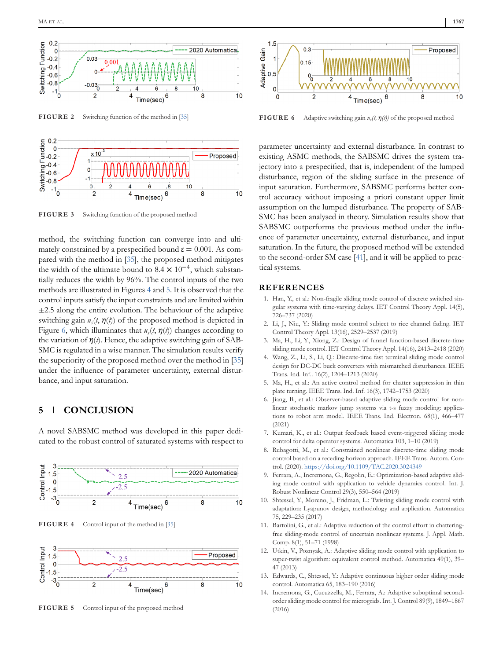<span id="page-5-0"></span>



**FIGURE 3** Switching function of the proposed method

method, the switching function can converge into and ultimately constrained by a prespecified bound  $\varepsilon = 0.001$ . As compared with the method in [\[35\]](#page-6-0), the proposed method mitigates the width of the ultimate bound to  $8.4 \times 10^{-4}$ , which substantially reduces the width by 96%. The control inputs of the two methods are illustrated in Figures 4 and 5. It is observed that the control inputs satisfy the input constraints and are limited within  $\pm$ 2.5 along the entire evolution. The behaviour of the adaptive switching gain  $u<sub>c</sub>(t, \eta(t))$  of the proposed method is depicted in Figure 6, which illuminates that  $u<sub>s</sub>(t, \eta(t))$  changes according to the variation of  $\eta(t)$ . Hence, the adaptive switching gain of SAB-SMC is regulated in a wise manner. The simulation results verify the superiority of the proposed method over the method in [\[35\]](#page-6-0) under the influence of parameter uncertainty, external disturbance, and input saturation.

### **5 CONCLUSION**

A novel SABSMC method was developed in this paper dedicated to the robust control of saturated systems with respect to



**FIGURE 4** Control input of the method in [\[35\]](#page-6-0)



**FIGURE 5** Control input of the proposed method

**FIGURE 6** Adaptive switching gain *us(t, η(t))* of the proposed method

parameter uncertainty and external disturbance. In contrast to existing ASMC methods, the SABSMC drives the system trajectory into a prespecified, that is, independent of the lumped disturbance, region of the sliding surface in the presence of input saturation. Furthermore, SABSMC performs better control accuracy without imposing a priori constant upper limit assumption on the lumped disturbance. The property of SAB-SMC has been analysed in theory. Simulation results show that SABSMC outperforms the previous method under the influence of parameter uncertainty, external disturbance, and input saturation. In the future, the proposed method will be extended to the second-order SM case [\[41\]](#page-6-0), and it will be applied to practical systems.

#### **REFERENCES**

- 1. Han, Y., et al.: Non-fragile sliding mode control of discrete switched singular systems with time-varying delays. IET Control Theory Appl. 14(5), 726–737 (2020)
- 2. Li, J., Niu, Y.: Sliding mode control subject to rice channel fading. IET Control Theory Appl. 13(16), 2529–2537 (2019)
- 3. Ma, H., Li, Y., Xiong, Z.: Design of funnel function-based discrete-time sliding mode control. IET Control Theory Appl. 14(16), 2413–2418 (2020)
- 4. Wang, Z., Li, S., Li, Q.: Discrete-time fast terminal sliding mode control design for DC-DC buck converters with mismatched disturbances. IEEE Trans. Ind. Inf.. 16(2), 1204–1213 (2020)
- 5. Ma, H., et al.: An active control method for chatter suppression in thin plate turning. IEEE Trans. Ind. Inf. 16(3), 1742–1753 (2020)
- 6. Jiang, B., et al.: Observer-based adaptive sliding mode control for nonlinear stochastic markov jump systems via t-s fuzzy modeling: applications to robot arm model. IEEE Trans. Ind. Electron. 68(1), 466–477 (2021)
- 7. Kumari, K., et al.: Output feedback based event-triggered sliding mode control for delta operator systems. Automatica 103, 1–10 (2019)
- 8. Rubagotti, M., et al.: Constrained nonlinear discrete-time sliding mode control based on a receding horizon approach. IEEE Trans. Autom. Control. (2020). <https://doi.org/10.1109/TAC.2020.3024349>
- 9. Ferrara, A., Incremona, G., Regolin, E.: Optimization-based adaptive sliding mode control with application to vehicle dynamics control. Int. J. Robust Nonlinear Control 29(3), 550–564 (2019)
- 10. Shtessel, Y., Moreno, J., Fridman, L.: Twisting sliding mode control with adaptation: Lyapunov design, methodology and application. Automatica 75, 229–235 (2017)
- 11. Bartolini, G., et al.: Adaptive reduction of the control effort in chatteringfree sliding-mode control of uncertain nonlinear systems. J. Appl. Math. Comp. 8(1), 51–71 (1998)
- 12. Utkin, V., Poznyak, A.: Adaptive sliding mode control with application to super-twist algorithm: equivalent control method. Automatica 49(1), 39– 47 (2013)
- 13. Edwards, C., Shtessel, Y.: Adaptive continuous higher order sliding mode control. Automatica 65, 183–190 (2016)
- 14. Incremona, G., Cucuzzella, M., Ferrara, A.: Adaptive suboptimal secondorder sliding mode control for microgrids. Int. J. Control 89(9), 1849–1867 (2016)